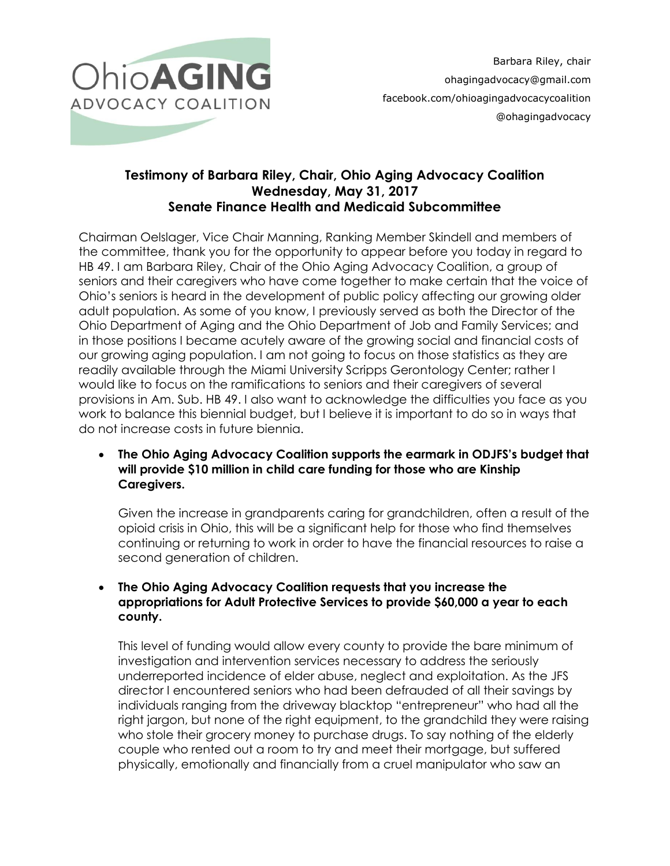

# **Testimony of Barbara Riley, Chair, Ohio Aging Advocacy Coalition Wednesday, May 31, 2017 Senate Finance Health and Medicaid Subcommittee**

Chairman Oelslager, Vice Chair Manning, Ranking Member Skindell and members of the committee, thank you for the opportunity to appear before you today in regard to HB 49. I am Barbara Riley, Chair of the Ohio Aging Advocacy Coalition, a group of seniors and their caregivers who have come together to make certain that the voice of Ohio's seniors is heard in the development of public policy affecting our growing older adult population. As some of you know, I previously served as both the Director of the Ohio Department of Aging and the Ohio Department of Job and Family Services; and in those positions I became acutely aware of the growing social and financial costs of our growing aging population. I am not going to focus on those statistics as they are readily available through the Miami University Scripps Gerontology Center; rather I would like to focus on the ramifications to seniors and their caregivers of several provisions in Am. Sub. HB 49. I also want to acknowledge the difficulties you face as you work to balance this biennial budget, but I believe it is important to do so in ways that do not increase costs in future biennia.

 **The Ohio Aging Advocacy Coalition supports the earmark in ODJFS's budget that will provide \$10 million in child care funding for those who are Kinship Caregivers.**

Given the increase in grandparents caring for grandchildren, often a result of the opioid crisis in Ohio, this will be a significant help for those who find themselves continuing or returning to work in order to have the financial resources to raise a second generation of children.

# **The Ohio Aging Advocacy Coalition requests that you increase the appropriations for Adult Protective Services to provide \$60,000 a year to each county.**

This level of funding would allow every county to provide the bare minimum of investigation and intervention services necessary to address the seriously underreported incidence of elder abuse, neglect and exploitation. As the JFS director I encountered seniors who had been defrauded of all their savings by individuals ranging from the driveway blacktop "entrepreneur" who had all the right jargon, but none of the right equipment, to the grandchild they were raising who stole their grocery money to purchase drugs. To say nothing of the elderly couple who rented out a room to try and meet their mortgage, but suffered physically, emotionally and financially from a cruel manipulator who saw an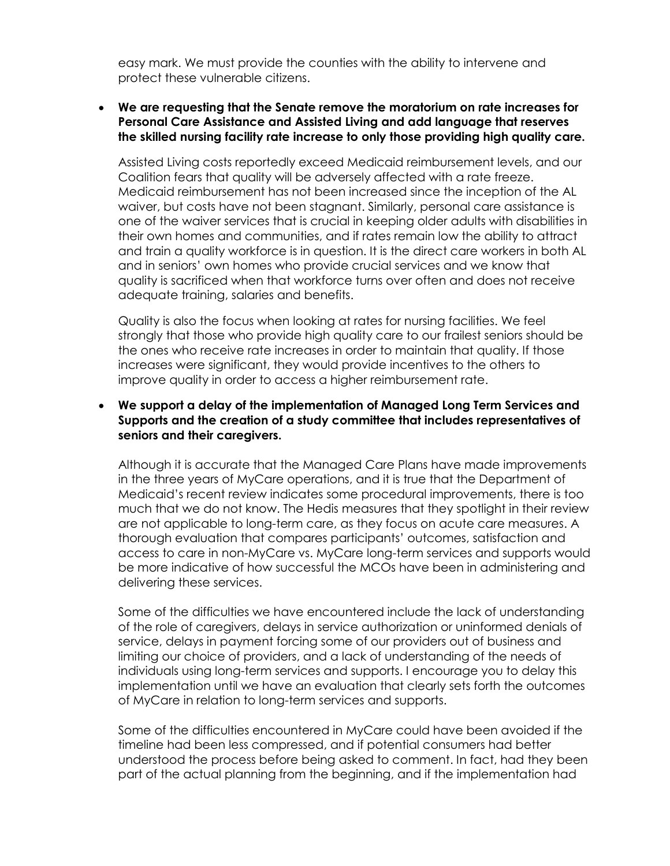easy mark. We must provide the counties with the ability to intervene and protect these vulnerable citizens.

#### **We are requesting that the Senate remove the moratorium on rate increases for Personal Care Assistance and Assisted Living and add language that reserves the skilled nursing facility rate increase to only those providing high quality care.**

Assisted Living costs reportedly exceed Medicaid reimbursement levels, and our Coalition fears that quality will be adversely affected with a rate freeze. Medicaid reimbursement has not been increased since the inception of the AL waiver, but costs have not been stagnant. Similarly, personal care assistance is one of the waiver services that is crucial in keeping older adults with disabilities in their own homes and communities, and if rates remain low the ability to attract and train a quality workforce is in question. It is the direct care workers in both AL and in seniors' own homes who provide crucial services and we know that quality is sacrificed when that workforce turns over often and does not receive adequate training, salaries and benefits.

Quality is also the focus when looking at rates for nursing facilities. We feel strongly that those who provide high quality care to our frailest seniors should be the ones who receive rate increases in order to maintain that quality. If those increases were significant, they would provide incentives to the others to improve quality in order to access a higher reimbursement rate.

## **We support a delay of the implementation of Managed Long Term Services and Supports and the creation of a study committee that includes representatives of seniors and their caregivers.**

Although it is accurate that the Managed Care Plans have made improvements in the three years of MyCare operations, and it is true that the Department of Medicaid's recent review indicates some procedural improvements, there is too much that we do not know. The Hedis measures that they spotlight in their review are not applicable to long-term care, as they focus on acute care measures. A thorough evaluation that compares participants' outcomes, satisfaction and access to care in non-MyCare vs. MyCare long-term services and supports would be more indicative of how successful the MCOs have been in administering and delivering these services.

Some of the difficulties we have encountered include the lack of understanding of the role of caregivers, delays in service authorization or uninformed denials of service, delays in payment forcing some of our providers out of business and limiting our choice of providers, and a lack of understanding of the needs of individuals using long-term services and supports. I encourage you to delay this implementation until we have an evaluation that clearly sets forth the outcomes of MyCare in relation to long-term services and supports.

Some of the difficulties encountered in MyCare could have been avoided if the timeline had been less compressed, and if potential consumers had better understood the process before being asked to comment. In fact, had they been part of the actual planning from the beginning, and if the implementation had